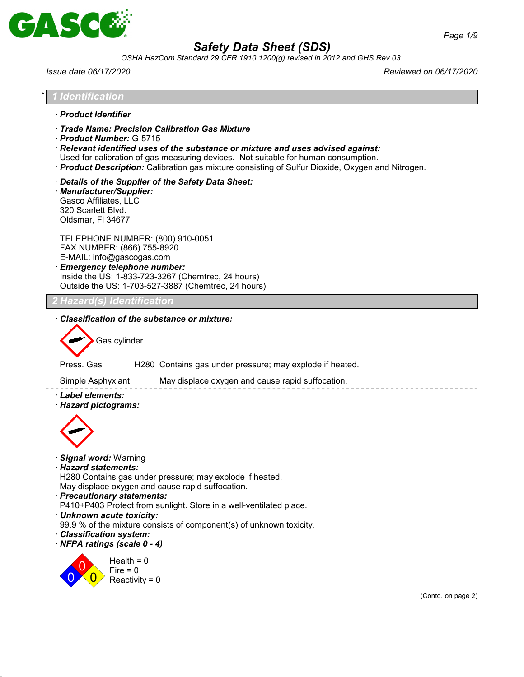

*OSHA HazCom Standard 29 CFR 1910.1200(g) revised in 2012 and GHS Rev 03.*

*Issue date 06/17/2020 Reviewed on 06/17/2020*

| <b>Identification</b>                                                                                                                                                  |                                                                                                                                                                                                                                                                                                                              |
|------------------------------------------------------------------------------------------------------------------------------------------------------------------------|------------------------------------------------------------------------------------------------------------------------------------------------------------------------------------------------------------------------------------------------------------------------------------------------------------------------------|
| · Product Identifier                                                                                                                                                   |                                                                                                                                                                                                                                                                                                                              |
| Product Number: G-5715                                                                                                                                                 | Trade Name: Precision Calibration Gas Mixture<br>· Relevant identified uses of the substance or mixture and uses advised against:<br>Used for calibration of gas measuring devices. Not suitable for human consumption.<br>· Product Description: Calibration gas mixture consisting of Sulfur Dioxide, Oxygen and Nitrogen. |
| · Manufacturer/Supplier:<br>Gasco Affiliates, LLC<br>320 Scarlett Blvd.<br>Oldsmar, FI 34677                                                                           | Details of the Supplier of the Safety Data Sheet:                                                                                                                                                                                                                                                                            |
| TELEPHONE NUMBER: (800) 910-0051<br>FAX NUMBER: (866) 755-8920<br>E-MAIL: info@gascogas.com<br>· Emergency telephone number:                                           | Inside the US: 1-833-723-3267 (Chemtrec, 24 hours)<br>Outside the US: 1-703-527-3887 (Chemtrec, 24 hours)                                                                                                                                                                                                                    |
| 2 Hazard(s) Identification                                                                                                                                             |                                                                                                                                                                                                                                                                                                                              |
| Gas cylinder<br>Press. Gas                                                                                                                                             | H280 Contains gas under pressure; may explode if heated.                                                                                                                                                                                                                                                                     |
| Simple Asphyxiant<br>· Label elements:<br>· Hazard pictograms:                                                                                                         | May displace oxygen and cause rapid suffocation.                                                                                                                                                                                                                                                                             |
| · Signal word: Warning<br>· Hazard statements:<br>· Precautionary statements:<br>· Unknown acute toxicity:<br>· Classification system:<br>· NFPA ratings (scale 0 - 4) | H280 Contains gas under pressure; may explode if heated.<br>May displace oxygen and cause rapid suffocation.<br>P410+P403 Protect from sunlight. Store in a well-ventilated place.<br>99.9 % of the mixture consists of component(s) of unknown toxicity.                                                                    |
| Health = $0$<br>$Fire = 0$<br>Reactivity = $0$                                                                                                                         | (Contd. on page 2)                                                                                                                                                                                                                                                                                                           |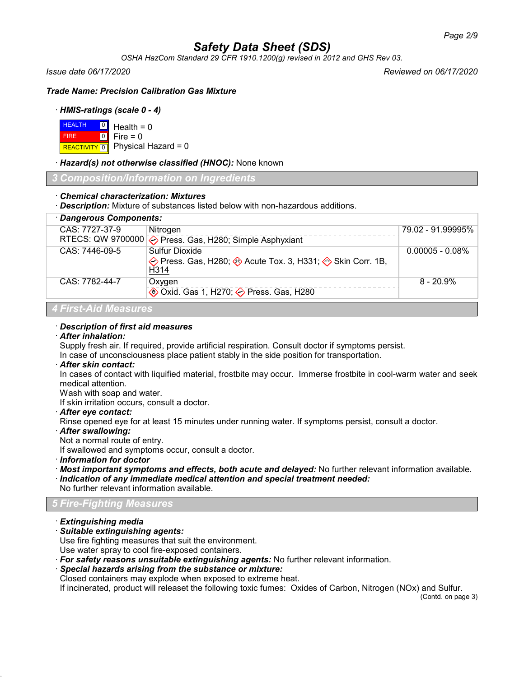*OSHA HazCom Standard 29 CFR 1910.1200(g) revised in 2012 and GHS Rev 03.*

*Issue date 06/17/2020 Reviewed on 06/17/2020*

*Trade Name: Precision Calibration Gas Mixture*

### · *HMIS-ratings (scale 0 - 4)*

| $H = 0$ Health = 0 |                                          |
|--------------------|------------------------------------------|
| <b>FIRE</b>        | $\blacksquare$ 0 $\blacksquare$ Fire = 0 |
|                    | REACTIVITY 0 Physical Hazard = 0         |

· *Hazard(s) not otherwise classified (HNOC):* None known

*3 Composition/Information on Ingredients*

### · *Chemical characterization: Mixtures*

· *Description:* Mixture of substances listed below with non-hazardous additions.

| · Dangerous Components:     |                                                                                                           |                    |
|-----------------------------|-----------------------------------------------------------------------------------------------------------|--------------------|
| CAS: 7727-37-9              | Nitrogen                                                                                                  | 79.02 - 91.99995%  |
|                             | RTECS: QW 9700000 $\diamondsuit$ Press. Gas, H280; Simple Asphyxiant                                      |                    |
| CAS: 7446-09-5              | Sulfur Dioxide                                                                                            | $0.00005 - 0.08\%$ |
|                             | $\diamondsuit$ Press. Gas, H280; $\diamondsuit$ Acute Tox. 3, H331; $\diamondsuit$ Skin Corr. 1B,<br>H314 |                    |
| CAS: 7782-44-7              | Oxygen                                                                                                    | $8 - 20.9\%$       |
|                             | <b>♦ Oxid. Gas 1, H270; ♦ Press. Gas, H280</b>                                                            |                    |
| <b>4 First-Aid Measures</b> |                                                                                                           |                    |

# · *Description of first aid measures*

## · *After inhalation:*

Supply fresh air. If required, provide artificial respiration. Consult doctor if symptoms persist.

In case of unconsciousness place patient stably in the side position for transportation.

# · *After skin contact:*

In cases of contact with liquified material, frostbite may occur. Immerse frostbite in cool-warm water and seek medical attention.

Wash with soap and water.

If skin irritation occurs, consult a doctor.

· *After eye contact:*

Rinse opened eye for at least 15 minutes under running water. If symptoms persist, consult a doctor.

· *After swallowing:*

Not a normal route of entry.

If swallowed and symptoms occur, consult a doctor.

· *Information for doctor*

- · *Most important symptoms and effects, both acute and delayed:* No further relevant information available. · *Indication of any immediate medical attention and special treatment needed:*
- No further relevant information available.

# *5 Fire-Fighting Measures*

- · *Extinguishing media*
- · *Suitable extinguishing agents:*

Use fire fighting measures that suit the environment.

- Use water spray to cool fire-exposed containers.
- · *For safety reasons unsuitable extinguishing agents:* No further relevant information.
- · *Special hazards arising from the substance or mixture:*

Closed containers may explode when exposed to extreme heat.

If incinerated, product will releaset the following toxic fumes: Oxides of Carbon, Nitrogen (NOx) and Sulfur.

(Contd. on page 3)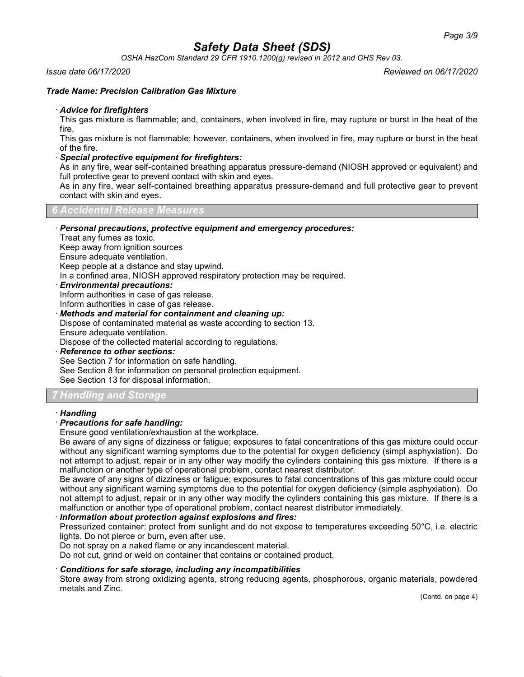*OSHA HazCom Standard 29 CFR 1910.1200(g) revised in 2012 and GHS Rev 03.*

### *Issue date 06/17/2020 Reviewed on 06/17/2020*

### *Trade Name: Precision Calibration Gas Mixture*

### · *Advice for firefighters*

This gas mixture is flammable; and, containers, when involved in fire, may rupture or burst in the heat of the fire.

This gas mixture is not flammable; however, containers, when involved in fire, may rupture or burst in the heat of the fire.

### · *Special protective equipment for firefighters:*

As in any fire, wear self-contained breathing apparatus pressure-demand (NIOSH approved or equivalent) and full protective gear to prevent contact with skin and eyes.

As in any fire, wear self-contained breathing apparatus pressure-demand and full protective gear to prevent contact with skin and eyes.

*6 Accidental Release Measures*

#### · *Personal precautions, protective equipment and emergency procedures:* Treat any fumes as toxic. Keep away from ignition sources Ensure adequate ventilation. Keep people at a distance and stay upwind. In a confined area, NIOSH approved respiratory protection may be required. · *Environmental precautions:* Inform authorities in case of gas release. Inform authorities in case of gas release. · *Methods and material for containment and cleaning up:* Dispose of contaminated material as waste according to section 13. Ensure adequate ventilation. Dispose of the collected material according to regulations. · *Reference to other sections:*

See Section 7 for information on safe handling.

See Section 8 for information on personal protection equipment.

See Section 13 for disposal information.

# *7 Handling and Storage*

### · *Handling*

## · *Precautions for safe handling:*

Ensure good ventilation/exhaustion at the workplace.

Be aware of any signs of dizziness or fatigue; exposures to fatal concentrations of this gas mixture could occur without any significant warning symptoms due to the potential for oxygen deficiency (simpl asphyxiation). Do not attempt to adjust, repair or in any other way modify the cylinders containing this gas mixture. If there is a malfunction or another type of operational problem, contact nearest distributor.

Be aware of any signs of dizziness or fatigue; exposures to fatal concentrations of this gas mixture could occur without any significant warning symptoms due to the potential for oxygen deficiency (simple asphyxiation). Do not attempt to adjust, repair or in any other way modify the cylinders containing this gas mixture. If there is a malfunction or another type of operational problem, contact nearest distributor immediately.

## · *Information about protection against explosions and fires:*

Pressurized container: protect from sunlight and do not expose to temperatures exceeding 50°C, i.e. electric lights. Do not pierce or burn, even after use.

Do not spray on a naked flame or any incandescent material.

Do not cut, grind or weld on container that contains or contained product.

## · *Conditions for safe storage, including any incompatibilities*

Store away from strong oxidizing agents, strong reducing agents, phosphorous, organic materials, powdered metals and Zinc.

(Contd. on page 4)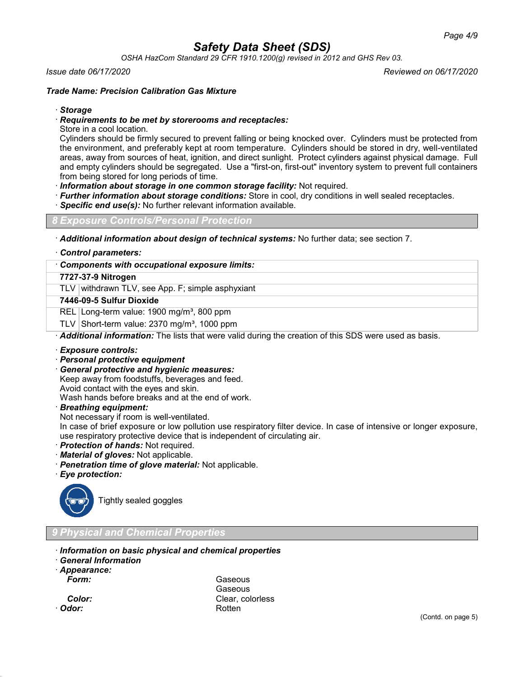*OSHA HazCom Standard 29 CFR 1910.1200(g) revised in 2012 and GHS Rev 03.*

#### *Issue date 06/17/2020 Reviewed on 06/17/2020*

### *Trade Name: Precision Calibration Gas Mixture*

### · *Storage*

### · *Requirements to be met by storerooms and receptacles:*

Store in a cool location.

Cylinders should be firmly secured to prevent falling or being knocked over. Cylinders must be protected from the environment, and preferably kept at room temperature. Cylinders should be stored in dry, well-ventilated areas, away from sources of heat, ignition, and direct sunlight. Protect cylinders against physical damage. Full and empty cylinders should be segregated. Use a "first-on, first-out" inventory system to prevent full containers from being stored for long periods of time.

· *Information about storage in one common storage facility:* Not required.

- · *Further information about storage conditions:* Store in cool, dry conditions in well sealed receptacles.
- **Specific end use(s):** No further relevant information available.

*8 Exposure Controls/Personal Protection*

· *Additional information about design of technical systems:* No further data; see section 7.

#### · *Control parameters:*

### · *Components with occupational exposure limits:*

## **7727-37-9 Nitrogen**

TLV withdrawn TLV, see App. F; simple asphyxiant

### **7446-09-5 Sulfur Dioxide**

REL Long-term value: 1900 mg/m<sup>3</sup>, 800 ppm

TLV Short-term value:  $2370$  mg/m<sup>3</sup>, 1000 ppm

· *Additional information:* The lists that were valid during the creation of this SDS were used as basis.

#### · *Exposure controls:*

## · *Personal protective equipment*

· *General protective and hygienic measures:*

Keep away from foodstuffs, beverages and feed.

Avoid contact with the eyes and skin.

Wash hands before breaks and at the end of work.

· *Breathing equipment:*

Not necessary if room is well-ventilated.

In case of brief exposure or low pollution use respiratory filter device. In case of intensive or longer exposure, use respiratory protective device that is independent of circulating air.

- · *Protection of hands:* Not required.
- · *Material of gloves:* Not applicable.
- · *Penetration time of glove material:* Not applicable.
- · *Eye protection:*



Tightly sealed goggles

# *9 Physical and Chemical Properties*

- · *Information on basic physical and chemical properties*
- · *General Information*

· *Appearance:*

*Form:* Gaseous **Gaseous Color:** Clear, colorless · *Odor:* Rotten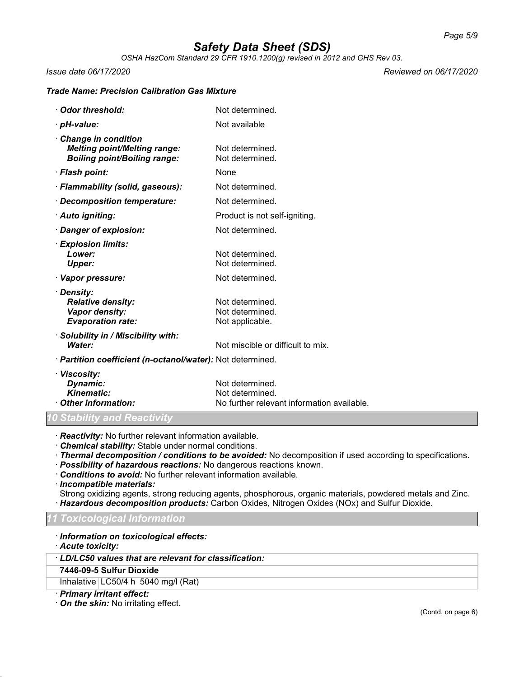*OSHA HazCom Standard 29 CFR 1910.1200(g) revised in 2012 and GHS Rev 03.*

*Issue date 06/17/2020 Reviewed on 06/17/2020*

# *Trade Name: Precision Calibration Gas Mixture*

| Odor threshold:                                                                                   | Not determined.                                                                  |
|---------------------------------------------------------------------------------------------------|----------------------------------------------------------------------------------|
| · pH-value:                                                                                       | Not available                                                                    |
| Change in condition<br><b>Melting point/Melting range:</b><br><b>Boiling point/Boiling range:</b> | Not determined.<br>Not determined.                                               |
| · Flash point:                                                                                    | None                                                                             |
| · Flammability (solid, gaseous):                                                                  | Not determined.                                                                  |
| · Decomposition temperature:                                                                      | Not determined.                                                                  |
| · Auto igniting:                                                                                  | Product is not self-igniting.                                                    |
| Danger of explosion:                                                                              | Not determined.                                                                  |
| · Explosion limits:<br>Lower:<br><b>Upper:</b>                                                    | Not determined.<br>Not determined.                                               |
| · Vapor pressure:                                                                                 | Not determined.                                                                  |
| · Density:<br><b>Relative density:</b><br>Vapor density:<br><b>Evaporation rate:</b>              | Not determined.<br>Not determined.<br>Not applicable.                            |
| · Solubility in / Miscibility with:<br>Water:                                                     | Not miscible or difficult to mix.                                                |
| · Partition coefficient (n-octanol/water): Not determined.                                        |                                                                                  |
| · Viscosity:<br>Dynamic:<br><b>Kinematic:</b><br>Other information:                               | Not determined.<br>Not determined.<br>No further relevant information available. |

*10 Stability and Reactivity*

· *Reactivity:* No further relevant information available.

· *Chemical stability:* Stable under normal conditions.

· *Thermal decomposition / conditions to be avoided:* No decomposition if used according to specifications.

- · *Possibility of hazardous reactions:* No dangerous reactions known.
- · *Conditions to avoid:* No further relevant information available.
- · *Incompatible materials:*

Strong oxidizing agents, strong reducing agents, phosphorous, organic materials, powdered metals and Zinc. · *Hazardous decomposition products:* Carbon Oxides, Nitrogen Oxides (NOx) and Sulfur Dioxide.

### *11 Toxicological Information*

· *Information on toxicological effects:*

· *Acute toxicity:*

· *LD/LC50 values that are relevant for classification:*

## **7446-09-5 Sulfur Dioxide**

Inhalative  $LC50/4$  h  $5040$  mg/l (Rat)

· *Primary irritant effect:*

· *On the skin:* No irritating effect.

(Contd. on page 6)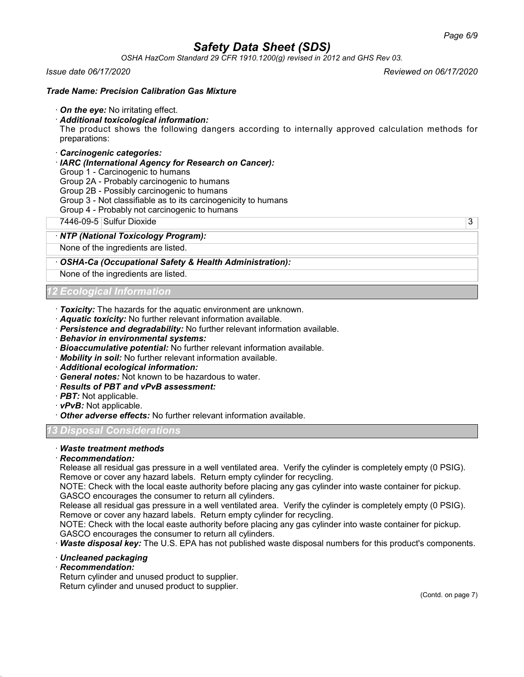*OSHA HazCom Standard 29 CFR 1910.1200(g) revised in 2012 and GHS Rev 03.*

### *Issue date 06/17/2020 Reviewed on 06/17/2020*

### *Trade Name: Precision Calibration Gas Mixture*

· *On the eye:* No irritating effect.

### · *Additional toxicological information:*

The product shows the following dangers according to internally approved calculation methods for preparations:

### · *Carcinogenic categories:*

· *IARC (International Agency for Research on Cancer):*

Group 1 - Carcinogenic to humans

Group 2A - Probably carcinogenic to humans

Group 2B - Possibly carcinogenic to humans

- Group 3 Not classifiable as to its carcinogenicity to humans
- Group 4 Probably not carcinogenic to humans

7446-09-5 Sulfur Dioxide 3

### · *NTP (National Toxicology Program):*

None of the ingredients are listed.

### · *OSHA-Ca (Occupational Safety & Health Administration):*

None of the ingredients are listed.

## *12 Ecological Information*

- · *Toxicity:* The hazards for the aquatic environment are unknown.
- · *Aquatic toxicity:* No further relevant information available.
- · *Persistence and degradability:* No further relevant information available.
- · *Behavior in environmental systems:*
- · *Bioaccumulative potential:* No further relevant information available.
- · *Mobility in soil:* No further relevant information available.
- · *Additional ecological information:*
- · *General notes:* Not known to be hazardous to water.
- · *Results of PBT and vPvB assessment:*
- · *PBT:* Not applicable.
- · *vPvB:* Not applicable.
- · *Other adverse effects:* No further relevant information available.

### *13 Disposal Considerations*

# · *Waste treatment methods*

### · *Recommendation:*

Release all residual gas pressure in a well ventilated area. Verify the cylinder is completely empty (0 PSIG). Remove or cover any hazard labels. Return empty cylinder for recycling.

NOTE: Check with the local easte authority before placing any gas cylinder into waste container for pickup. GASCO encourages the consumer to return all cylinders.

Release all residual gas pressure in a well ventilated area. Verify the cylinder is completely empty (0 PSIG). Remove or cover any hazard labels. Return empty cylinder for recycling.

NOTE: Check with the local easte authority before placing any gas cylinder into waste container for pickup. GASCO encourages the consumer to return all cylinders.

· *Waste disposal key:* The U.S. EPA has not published waste disposal numbers for this product's components.

#### · *Uncleaned packaging*

· *Recommendation:*

Return cylinder and unused product to supplier. Return cylinder and unused product to supplier.

(Contd. on page 7)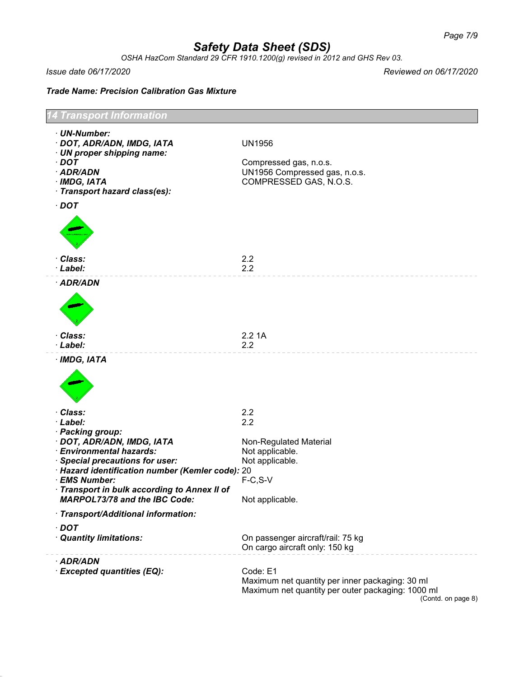*OSHA HazCom Standard 29 CFR 1910.1200(g) revised in 2012 and GHS Rev 03.*

*Issue date 06/17/2020 Reviewed on 06/17/2020*

*Trade Name: Precision Calibration Gas Mixture*

| 4 Transport Information                                                                                                                                                                                                                                                  |                                                                                                                                              |  |
|--------------------------------------------------------------------------------------------------------------------------------------------------------------------------------------------------------------------------------------------------------------------------|----------------------------------------------------------------------------------------------------------------------------------------------|--|
| · UN-Number:<br>· DOT, ADR/ADN, IMDG, IATA<br>· UN proper shipping name:<br>$\cdot$ DOT<br>· ADR/ADN<br>$·$ IMDG, IATA<br>· Transport hazard class(es):                                                                                                                  | <b>UN1956</b><br>Compressed gas, n.o.s.<br>UN1956 Compressed gas, n.o.s.<br>COMPRESSED GAS, N.O.S.                                           |  |
| $\cdot$ DOT<br>· Class:<br>· Label:                                                                                                                                                                                                                                      | 2.2<br>2.2                                                                                                                                   |  |
| · ADR/ADN                                                                                                                                                                                                                                                                |                                                                                                                                              |  |
| · Class:<br>· Label:                                                                                                                                                                                                                                                     | 2.21A<br>2.2                                                                                                                                 |  |
| · IMDG, IATA                                                                                                                                                                                                                                                             |                                                                                                                                              |  |
| · Class:<br>· Label:                                                                                                                                                                                                                                                     | 2.2<br>2.2                                                                                                                                   |  |
| · Packing group:<br>· DOT, ADR/ADN, IMDG, IATA<br>· Environmental hazards:<br>· Special precautions for user:<br>· Hazard identification number (Kemler code): 20<br>· EMS Number:<br>Transport in bulk according to Annex II of<br><b>MARPOL73/78 and the IBC Code:</b> | Non-Regulated Material<br>Not applicable.<br>Not applicable.<br>$F-C, S-V$<br>Not applicable.                                                |  |
| · Transport/Additional information:                                                                                                                                                                                                                                      |                                                                                                                                              |  |
| $\cdot$ DOT<br>· Quantity limitations:                                                                                                                                                                                                                                   | On passenger aircraft/rail: 75 kg<br>On cargo aircraft only: 150 kg                                                                          |  |
| · ADR/ADN<br>· Excepted quantities (EQ):                                                                                                                                                                                                                                 | Code: E1<br>Maximum net quantity per inner packaging: 30 ml<br>Maximum net quantity per outer packaging: 1000 ml<br>$(Conted)$ on name $R$ ) |  |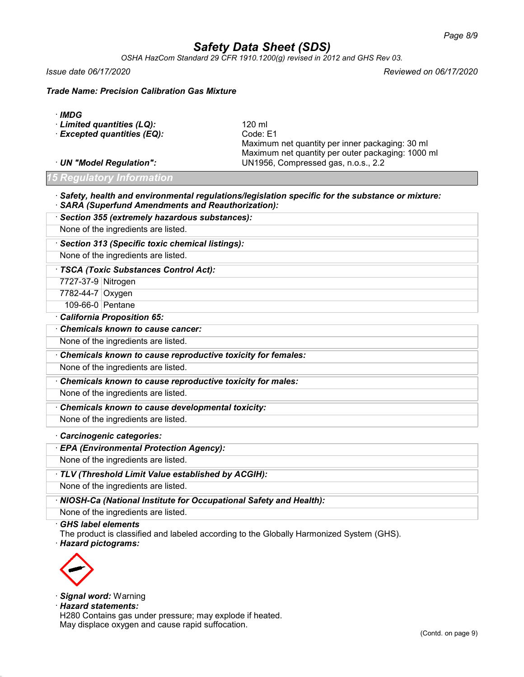*OSHA HazCom Standard 29 CFR 1910.1200(g) revised in 2012 and GHS Rev 03.*

*Issue date 06/17/2020 Reviewed on 06/17/2020*

*Trade Name: Precision Calibration Gas Mixture*

|  | ×<br>v |
|--|--------|
|--|--------|

| 120 ml                                            |
|---------------------------------------------------|
| Code: E1                                          |
| Maximum net quantity per inner packaging: 30 ml   |
| Maximum net quantity per outer packaging: 1000 ml |
| UN1956, Compressed gas, n.o.s., 2.2               |
|                                                   |

*15 Regulatory Information*

#### · *Safety, health and environmental regulations/legislation specific for the substance or mixture:* · *SARA (Superfund Amendments and Reauthorization):*

· *Section 355 (extremely hazardous substances):* None of the ingredients are listed.

· *Section 313 (Specific toxic chemical listings):*

None of the ingredients are listed.

· *TSCA (Toxic Substances Control Act):*

7727-37-9 Nitrogen

7782-44-7 Oxygen

109-66-0 Pentane

· *California Proposition 65:*

· *Chemicals known to cause cancer:*

None of the ingredients are listed.

· *Chemicals known to cause reproductive toxicity for females:*

None of the ingredients are listed.

· *Chemicals known to cause reproductive toxicity for males:*

None of the ingredients are listed.

· *Chemicals known to cause developmental toxicity:*

None of the ingredients are listed.

· *Carcinogenic categories:*

· *EPA (Environmental Protection Agency):*

None of the ingredients are listed.

· *TLV (Threshold Limit Value established by ACGIH):*

None of the ingredients are listed.

· *NIOSH-Ca (National Institute for Occupational Safety and Health):*

None of the ingredients are listed.

· *GHS label elements*

The product is classified and labeled according to the Globally Harmonized System (GHS).

· *Hazard pictograms:*



· *Signal word:* Warning

· *Hazard statements:*

H280 Contains gas under pressure; may explode if heated. May displace oxygen and cause rapid suffocation.